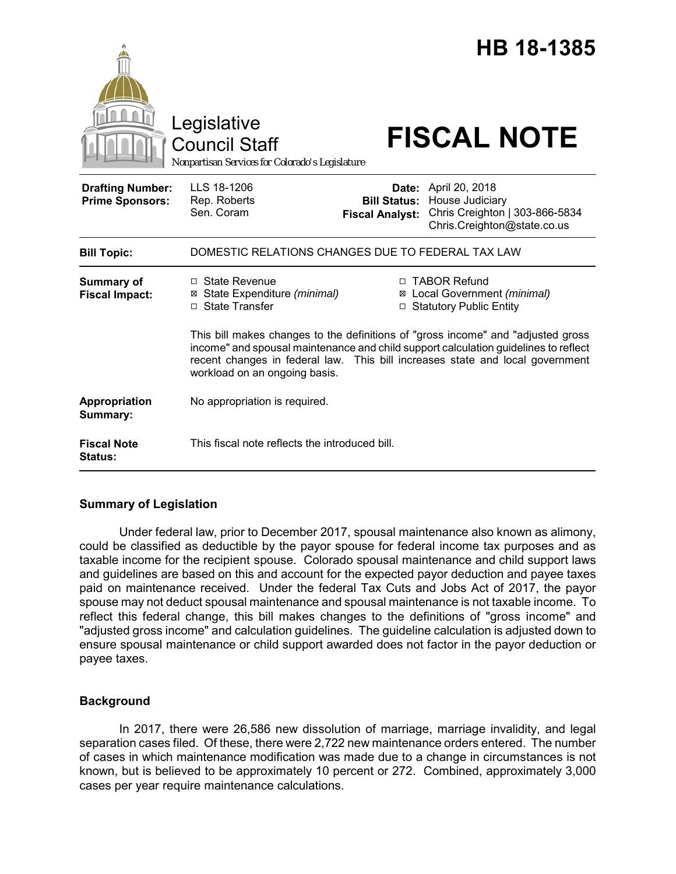|                                                   | Legislative<br><b>Council Staff</b><br>Nonpartisan Services for Colorado's Legislature                                                                                                                                                                                                     |                                 | <b>HB 18-1385</b><br><b>FISCAL NOTE</b>                                                                                |
|---------------------------------------------------|--------------------------------------------------------------------------------------------------------------------------------------------------------------------------------------------------------------------------------------------------------------------------------------------|---------------------------------|------------------------------------------------------------------------------------------------------------------------|
| <b>Drafting Number:</b><br><b>Prime Sponsors:</b> | LLS 18-1206<br>Rep. Roberts<br>Sen. Coram                                                                                                                                                                                                                                                  | Date:<br><b>Fiscal Analyst:</b> | April 20, 2018<br><b>Bill Status: House Judiciary</b><br>Chris Creighton   303-866-5834<br>Chris.Creighton@state.co.us |
| <b>Bill Topic:</b>                                | DOMESTIC RELATIONS CHANGES DUE TO FEDERAL TAX LAW                                                                                                                                                                                                                                          |                                 |                                                                                                                        |
| <b>Summary of</b><br><b>Fiscal Impact:</b>        | □ State Revenue<br>⊠ State Expenditure (minimal)<br>□ State Transfer                                                                                                                                                                                                                       |                                 | □ TABOR Refund<br>⊠ Local Government (minimal)<br>□ Statutory Public Entity                                            |
|                                                   | This bill makes changes to the definitions of "gross income" and "adjusted gross"<br>income" and spousal maintenance and child support calculation guidelines to reflect<br>recent changes in federal law. This bill increases state and local government<br>workload on an ongoing basis. |                                 |                                                                                                                        |
| Appropriation<br>Summary:                         | No appropriation is required.                                                                                                                                                                                                                                                              |                                 |                                                                                                                        |
| <b>Fiscal Note</b><br><b>Status:</b>              | This fiscal note reflects the introduced bill.                                                                                                                                                                                                                                             |                                 |                                                                                                                        |

# **Summary of Legislation**

Under federal law, prior to December 2017, spousal maintenance also known as alimony, could be classified as deductible by the payor spouse for federal income tax purposes and as taxable income for the recipient spouse. Colorado spousal maintenance and child support laws and guidelines are based on this and account for the expected payor deduction and payee taxes paid on maintenance received. Under the federal Tax Cuts and Jobs Act of 2017, the payor spouse may not deduct spousal maintenance and spousal maintenance is not taxable income. To reflect this federal change, this bill makes changes to the definitions of "gross income" and "adjusted gross income" and calculation guidelines. The guideline calculation is adjusted down to ensure spousal maintenance or child support awarded does not factor in the payor deduction or payee taxes.

### **Background**

In 2017, there were 26,586 new dissolution of marriage, marriage invalidity, and legal separation cases filed. Of these, there were 2,722 new maintenance orders entered. The number of cases in which maintenance modification was made due to a change in circumstances is not known, but is believed to be approximately 10 percent or 272. Combined, approximately 3,000 cases per year require maintenance calculations.